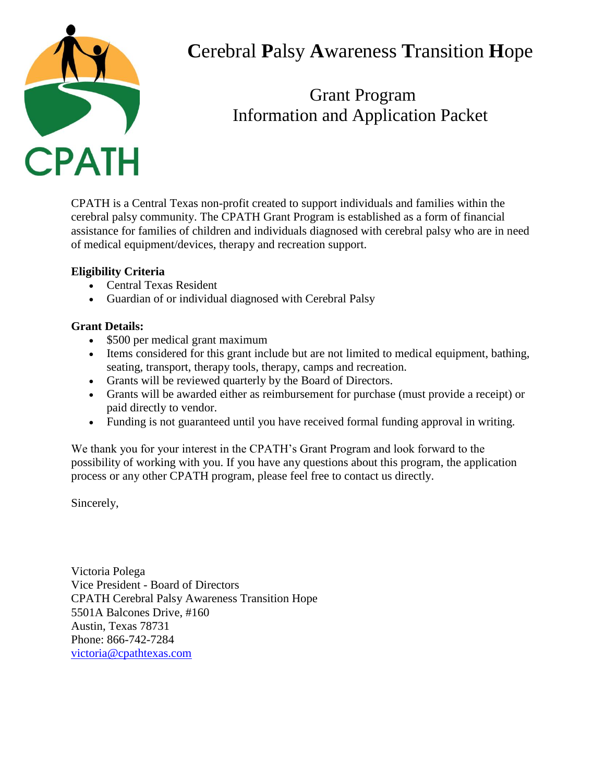

# **C**erebral **P**alsy **A**wareness **T**ransition **H**ope

## Grant Program Information and Application Packet

CPATH is a Central Texas non-profit created to support individuals and families within the cerebral palsy community. The CPATH Grant Program is established as a form of financial assistance for families of children and individuals diagnosed with cerebral palsy who are in need of medical equipment/devices, therapy and recreation support.

### **Eligibility Criteria**

- Central Texas Resident
- Guardian of or individual diagnosed with Cerebral Palsy

### **Grant Details:**

- \$500 per medical grant maximum
- Items considered for this grant include but are not limited to medical equipment, bathing, seating, transport, therapy tools, therapy, camps and recreation.
- Grants will be reviewed quarterly by the Board of Directors.
- Grants will be awarded either as reimbursement for purchase (must provide a receipt) or paid directly to vendor.
- Funding is not guaranteed until you have received formal funding approval in writing.

We thank you for your interest in the CPATH's Grant Program and look forward to the possibility of working with you. If you have any questions about this program, the application process or any other CPATH program, please feel free to contact us directly.

Sincerely,

Victoria Polega Vice President - Board of Directors CPATH Cerebral Palsy Awareness Transition Hope 5501A Balcones Drive, #160 Austin, Texas 78731 Phone: 866-742-7284 [victoria@cpathtexas.com](mailto:victoria@cpathtexas.com)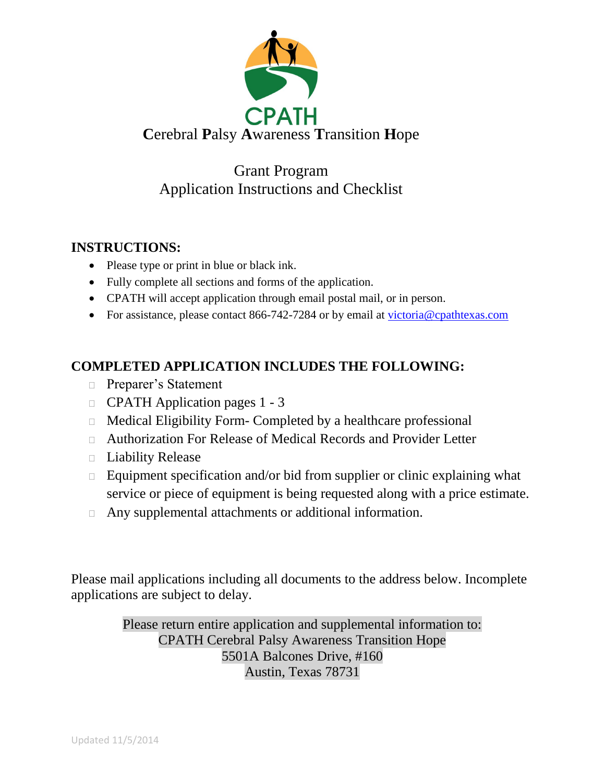

## Grant Program Application Instructions and Checklist

### **INSTRUCTIONS:**

- Please type or print in blue or black ink.
- Fully complete all sections and forms of the application.
- CPATH will accept application through email postal mail, or in person.
- For assistance, please contact 866-742-7284 or by email at [victoria@cpathtexas.com](mailto:victoria@cpathtexas.com)

## **COMPLETED APPLICATION INCLUDES THE FOLLOWING:**

- □ Preparer's Statement
- CPATH Application pages 1 3
- Medical Eligibility Form- Completed by a healthcare professional
- Authorization For Release of Medical Records and Provider Letter
- $\Box$  Liability Release
- $\Box$  Equipment specification and/or bid from supplier or clinic explaining what service or piece of equipment is being requested along with a price estimate.
- Any supplemental attachments or additional information.

Please mail applications including all documents to the address below. Incomplete applications are subject to delay.

> Please return entire application and supplemental information to: CPATH Cerebral Palsy Awareness Transition Hope 5501A Balcones Drive, #160 Austin, Texas 78731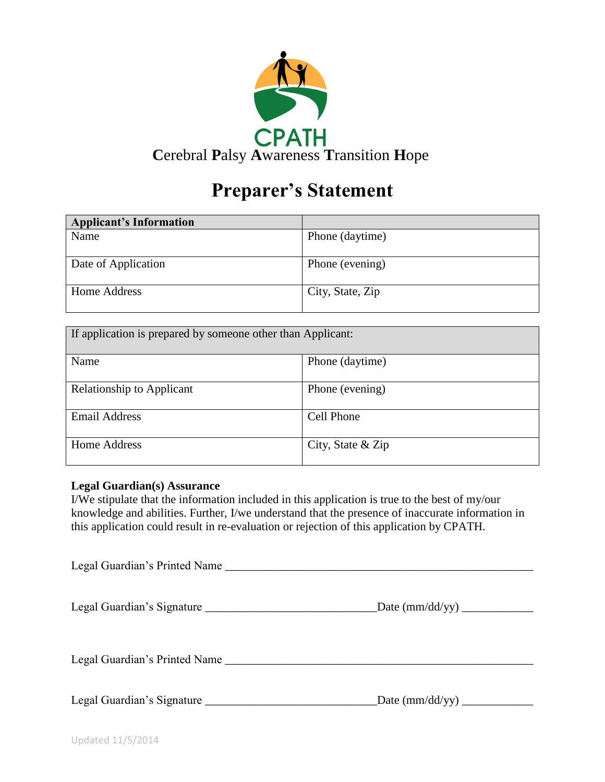

# **Preparer's Statement**

| <b>Applicant's Information</b> |                  |
|--------------------------------|------------------|
| Name                           | Phone (daytime)  |
|                                |                  |
| Date of Application            | Phone (evening)  |
|                                |                  |
| <b>Home Address</b>            | City, State, Zip |
|                                |                  |

| If application is prepared by someone other than Applicant: |                   |  |
|-------------------------------------------------------------|-------------------|--|
| Name                                                        | Phone (daytime)   |  |
| Relationship to Applicant                                   | Phone (evening)   |  |
| <b>Email Address</b>                                        | <b>Cell Phone</b> |  |
| Home Address                                                | City, State & Zip |  |

#### **Legal Guardian(s) Assurance**

I/We stipulate that the information included in this application is true to the best of my/our knowledge and abilities. Further, I/we understand that the presence of inaccurate information in this application could result in re-evaluation or rejection of this application by CPATH.

| Legal Guardian's Printed Name |  |
|-------------------------------|--|
|                               |  |
| Legal Guardian's Printed Name |  |
|                               |  |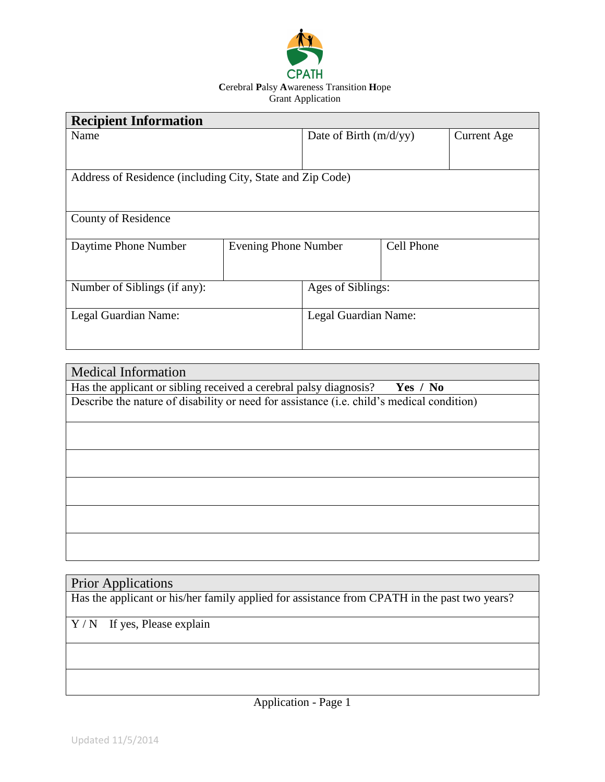

| <b>Recipient Information</b>                              |                             |                          |            |                    |
|-----------------------------------------------------------|-----------------------------|--------------------------|------------|--------------------|
| Name                                                      |                             | Date of Birth $(m/d/yy)$ |            | <b>Current Age</b> |
|                                                           |                             |                          |            |                    |
|                                                           |                             |                          |            |                    |
| Address of Residence (including City, State and Zip Code) |                             |                          |            |                    |
|                                                           |                             |                          |            |                    |
|                                                           |                             |                          |            |                    |
| County of Residence                                       |                             |                          |            |                    |
|                                                           |                             |                          |            |                    |
| Daytime Phone Number                                      | <b>Evening Phone Number</b> |                          | Cell Phone |                    |
|                                                           |                             |                          |            |                    |
|                                                           |                             |                          |            |                    |
| Number of Siblings (if any):                              |                             | Ages of Siblings:        |            |                    |
|                                                           |                             |                          |            |                    |
| Legal Guardian Name:                                      |                             | Legal Guardian Name:     |            |                    |
|                                                           |                             |                          |            |                    |
|                                                           |                             |                          |            |                    |

| <b>Medical Information</b>                                                                |
|-------------------------------------------------------------------------------------------|
| Has the applicant or sibling received a cerebral palsy diagnosis?<br>Yes $/$ No           |
| Describe the nature of disability or need for assistance (i.e. child's medical condition) |
|                                                                                           |
|                                                                                           |
|                                                                                           |
|                                                                                           |
|                                                                                           |
|                                                                                           |
|                                                                                           |
|                                                                                           |
|                                                                                           |
|                                                                                           |
|                                                                                           |

## Prior Applications

Has the applicant or his/her family applied for assistance from CPATH in the past two years?

Y / N If yes, Please explain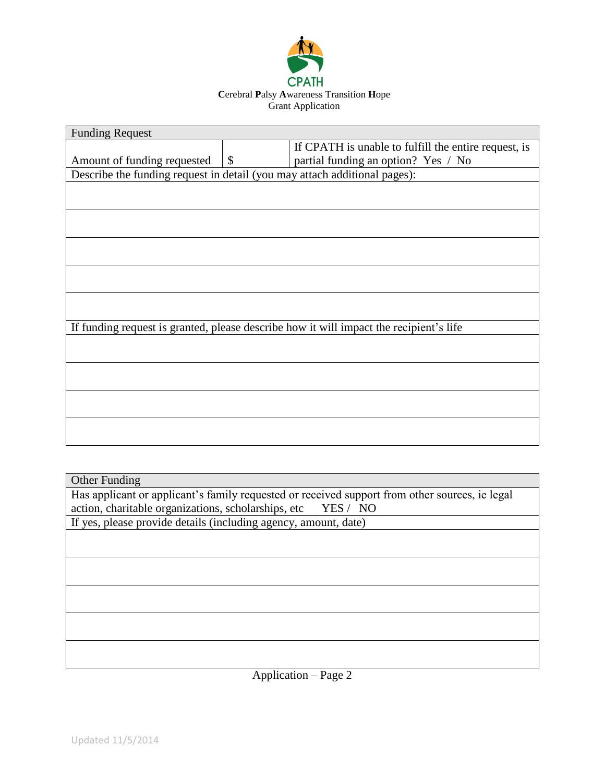

| <b>Funding Request</b>                                                    |                           |                                                                                        |
|---------------------------------------------------------------------------|---------------------------|----------------------------------------------------------------------------------------|
|                                                                           |                           | If CPATH is unable to fulfill the entire request, is                                   |
| Amount of funding requested                                               | $\boldsymbol{\mathsf{S}}$ | partial funding an option? Yes / No                                                    |
| Describe the funding request in detail (you may attach additional pages): |                           |                                                                                        |
|                                                                           |                           |                                                                                        |
|                                                                           |                           |                                                                                        |
|                                                                           |                           |                                                                                        |
|                                                                           |                           |                                                                                        |
|                                                                           |                           |                                                                                        |
|                                                                           |                           |                                                                                        |
|                                                                           |                           |                                                                                        |
|                                                                           |                           |                                                                                        |
|                                                                           |                           |                                                                                        |
|                                                                           |                           |                                                                                        |
|                                                                           |                           | If funding request is granted, please describe how it will impact the recipient's life |
|                                                                           |                           |                                                                                        |
|                                                                           |                           |                                                                                        |
|                                                                           |                           |                                                                                        |
|                                                                           |                           |                                                                                        |
|                                                                           |                           |                                                                                        |
|                                                                           |                           |                                                                                        |
|                                                                           |                           |                                                                                        |
|                                                                           |                           |                                                                                        |

| Other Funding                                                                                  |  |  |
|------------------------------------------------------------------------------------------------|--|--|
| Has applicant or applicant's family requested or received support from other sources, ie legal |  |  |
| action, charitable organizations, scholarships, etc<br>YES / NO                                |  |  |
| If yes, please provide details (including agency, amount, date)                                |  |  |
|                                                                                                |  |  |
|                                                                                                |  |  |
|                                                                                                |  |  |
|                                                                                                |  |  |
|                                                                                                |  |  |
|                                                                                                |  |  |
|                                                                                                |  |  |
|                                                                                                |  |  |
|                                                                                                |  |  |
|                                                                                                |  |  |

Application – Page 2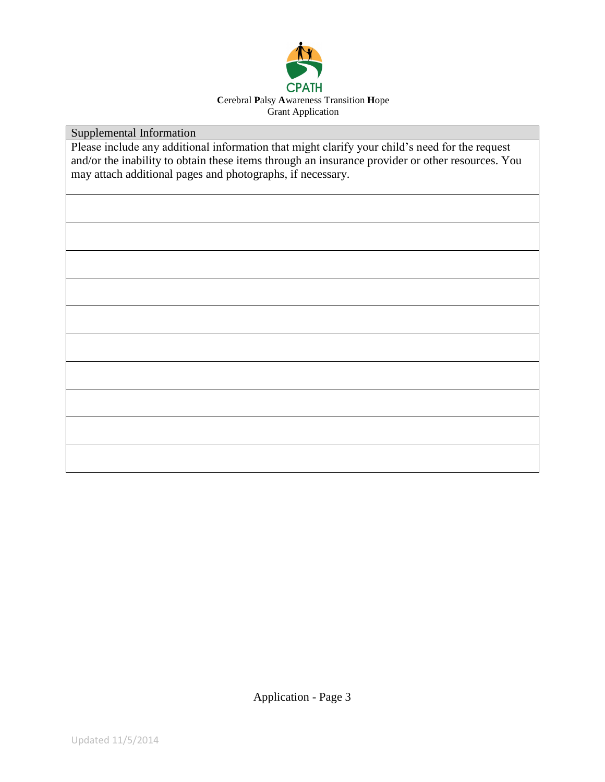

Supplemental Information

Please include any additional information that might clarify your child's need for the request and/or the inability to obtain these items through an insurance provider or other resources. You may attach additional pages and photographs, if necessary.

Application - Page 3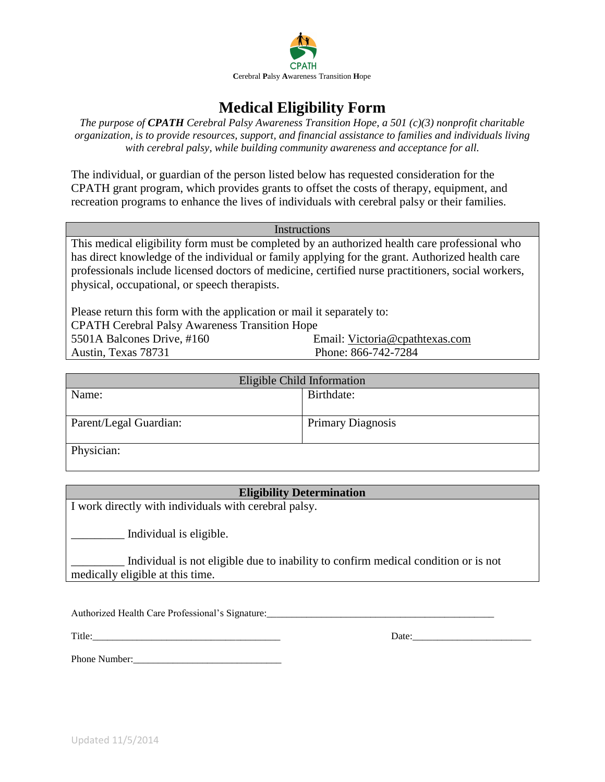

## **Medical Eligibility Form**

*The purpose of CPATH Cerebral Palsy Awareness Transition Hope, a 501 (c)(3) nonprofit charitable organization, is to provide resources, support, and financial assistance to families and individuals living with cerebral palsy, while building community awareness and acceptance for all.*

The individual, or guardian of the person listed below has requested consideration for the CPATH grant program, which provides grants to offset the costs of therapy, equipment, and recreation programs to enhance the lives of individuals with cerebral palsy or their families.

Instructions

This medical eligibility form must be completed by an authorized health care professional who has direct knowledge of the individual or family applying for the grant. Authorized health care professionals include licensed doctors of medicine, certified nurse practitioners, social workers, physical, occupational, or speech therapists.

Please return this form with the application or mail it separately to: CPATH Cerebral Palsy Awareness Transition Hope 5501A Balcones Drive, #160 Email: [Victoria@cpathtexas.com](mailto:Victoria@cpathtexas.com) Austin, Texas 78731 Phone: 866-742-7284

| Eligible Child Information |                          |  |
|----------------------------|--------------------------|--|
| Name:                      | Birthdate:               |  |
|                            |                          |  |
| Parent/Legal Guardian:     | <b>Primary Diagnosis</b> |  |
|                            |                          |  |
| Physician:                 |                          |  |

#### **Eligibility Determination**

I work directly with individuals with cerebral palsy.

\_\_\_\_\_\_\_\_\_ Individual is eligible.

Individual is not eligible due to inability to confirm medical condition or is not medically eligible at this time.

Authorized Health Care Professional's Signature:

Title:\_\_\_\_\_\_\_\_\_\_\_\_\_\_\_\_\_\_\_\_\_\_\_\_\_\_\_\_\_\_\_\_\_\_\_\_\_\_ Date:\_\_\_\_\_\_\_\_\_\_\_\_\_\_\_\_\_\_\_\_\_\_\_\_

Phone Number: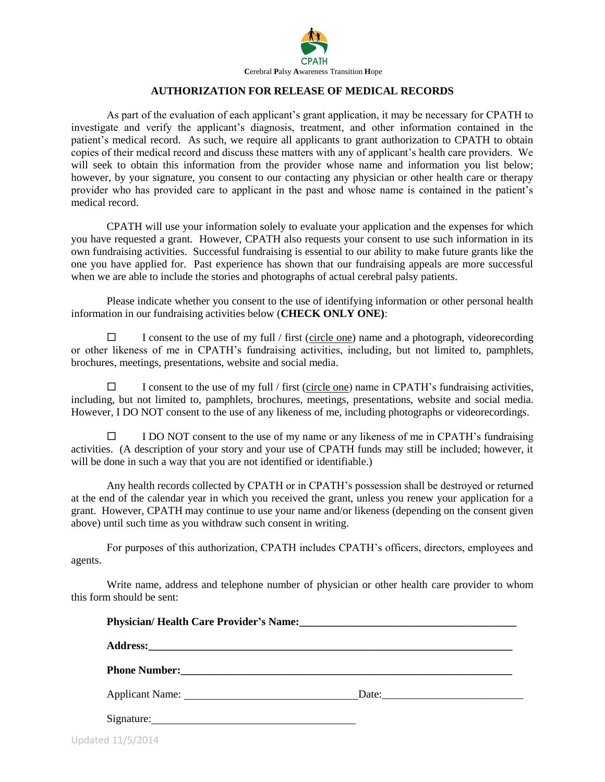

#### **AUTHORIZATION FOR RELEASE OF MEDICAL RECORDS**

As part of the evaluation of each applicant's grant application, it may be necessary for CPATH to investigate and verify the applicant's diagnosis, treatment, and other information contained in the patient's medical record. As such, we require all applicants to grant authorization to CPATH to obtain copies of their medical record and discuss these matters with any of applicant's health care providers. We will seek to obtain this information from the provider whose name and information you list below; however, by your signature, you consent to our contacting any physician or other health care or therapy provider who has provided care to applicant in the past and whose name is contained in the patient's medical record.

CPATH will use your information solely to evaluate your application and the expenses for which you have requested a grant. However, CPATH also requests your consent to use such information in its own fundraising activities. Successful fundraising is essential to our ability to make future grants like the one you have applied for. Past experience has shown that our fundraising appeals are more successful when we are able to include the stories and photographs of actual cerebral palsy patients.

Please indicate whether you consent to the use of identifying information or other personal health information in our fundraising activities below (**CHECK ONLY ONE)**:

 $\Box$  I consent to the use of my full / first (circle one) name and a photograph, videorecording or other likeness of me in CPATH's fundraising activities, including, but not limited to, pamphlets, brochures, meetings, presentations, website and social media.

 $\Box$  I consent to the use of my full / first (circle one) name in CPATH's fundraising activities, including, but not limited to, pamphlets, brochures, meetings, presentations, website and social media. However, I DO NOT consent to the use of any likeness of me, including photographs or videorecordings.

 $\square$  I DO NOT consent to the use of my name or any likeness of me in CPATH's fundraising activities. (A description of your story and your use of CPATH funds may still be included; however, it will be done in such a way that you are not identified or identifiable.)

Any health records collected by CPATH or in CPATH's possession shall be destroyed or returned at the end of the calendar year in which you received the grant, unless you renew your application for a grant. However, CPATH may continue to use your name and/or likeness (depending on the consent given above) until such time as you withdraw such consent in writing.

For purposes of this authorization, CPATH includes CPATH's officers, directors, employees and agents.

Write name, address and telephone number of physician or other health care provider to whom this form should be sent:

| Physician/Health Care Provider's Name:<br><u>Letter and the care of the care of the care of the care of the care of the care of the care of the care of the care of the care of the care of the care of the care of the care of th</u> |  |
|----------------------------------------------------------------------------------------------------------------------------------------------------------------------------------------------------------------------------------------|--|
|                                                                                                                                                                                                                                        |  |
|                                                                                                                                                                                                                                        |  |
| Applicant Name: Date: Date:                                                                                                                                                                                                            |  |
| Signature:                                                                                                                                                                                                                             |  |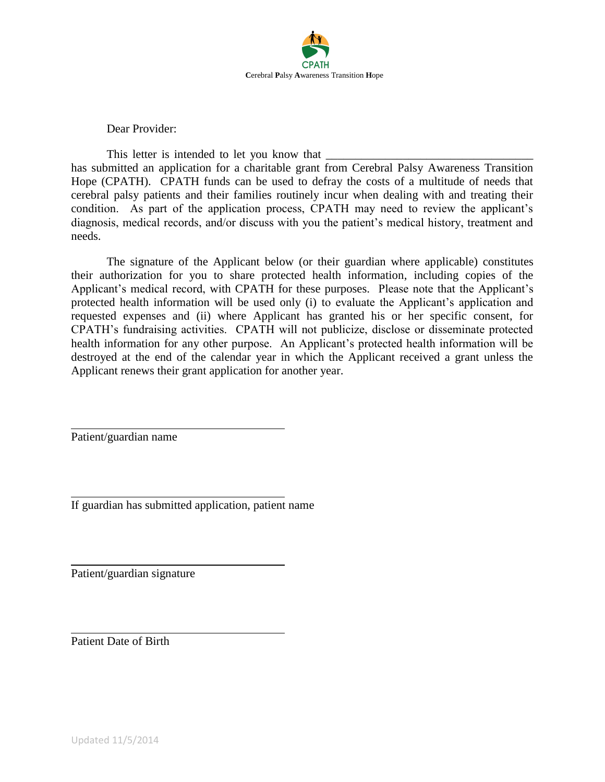

Dear Provider:

This letter is intended to let you know that has submitted an application for a charitable grant from Cerebral Palsy Awareness Transition Hope (CPATH). CPATH funds can be used to defray the costs of a multitude of needs that cerebral palsy patients and their families routinely incur when dealing with and treating their condition. As part of the application process, CPATH may need to review the applicant's diagnosis, medical records, and/or discuss with you the patient's medical history, treatment and needs.

The signature of the Applicant below (or their guardian where applicable) constitutes their authorization for you to share protected health information, including copies of the Applicant's medical record, with CPATH for these purposes. Please note that the Applicant's protected health information will be used only (i) to evaluate the Applicant's application and requested expenses and (ii) where Applicant has granted his or her specific consent, for CPATH's fundraising activities. CPATH will not publicize, disclose or disseminate protected health information for any other purpose. An Applicant's protected health information will be destroyed at the end of the calendar year in which the Applicant received a grant unless the Applicant renews their grant application for another year.

Patient/guardian name

If guardian has submitted application, patient name

Patient/guardian signature

Patient Date of Birth